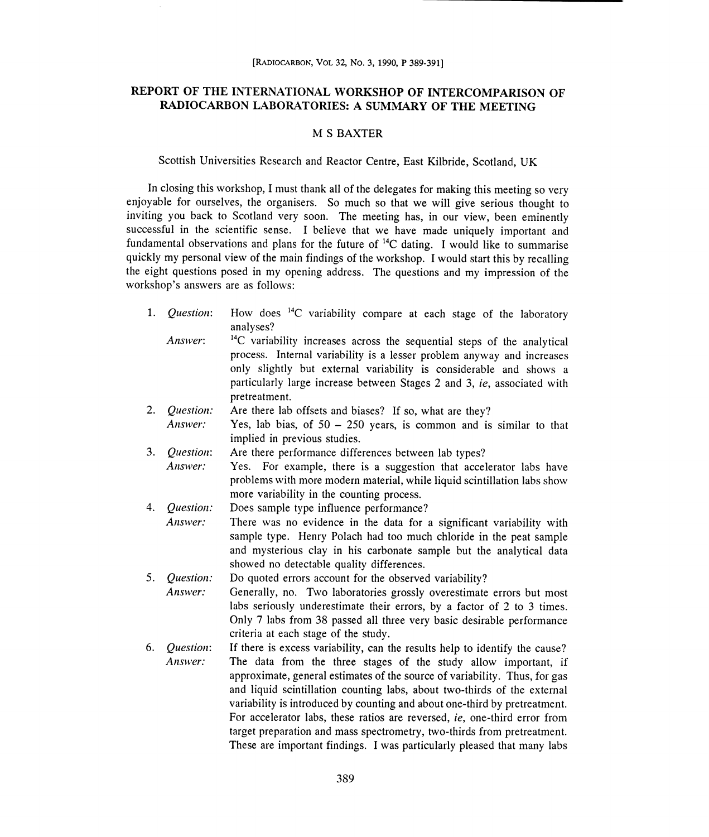# REPORT OF THE INTERNATIONAL WORKSHOP OF INTERCOMPARISON OF )RT OF THE INTERNATIONAL WORKSHOP OF INTERCOMPARISON OF<br>RADIOCARBON LABORATORIES: A SUMMARY OF THE MEETING

### M S BAXTER

## Scottish Universities Research and Reactor Centre, East Kilbride, Scotland, UK

In closing this workshop, I must thank all of the delegates for making this meeting so very enjoyable for ourselves, the organisers. So much so that we will give serious thought to inviting you back to Scotland very soon. The meeting has, in our view, been eminently successful in the scientific sense. I believe that we have made uniquely important and fundamental observations and plans for the future of <sup>14</sup>C dating. I would like to summarise quickly my personal view of the main findings of the workshop. I would start this by recalling the eight questions posed in my opening address. The questions and my impression of the workshop's answers are as follows:

- 1. *Question*: How does <sup>14</sup>C variability compare at each stage of the laboratory analyses? analyses?
- Answer:  $14C$  variability increases across the sequential steps of the analytical process. Internal variability is a lesser problem anyway and increases process. Internal variability is a lesser problem anyway and increases only slightly but external variability is considerable and shows a particularly large increase between Stages 2 and 3, ie, associated with pretreatment. particularly large increase between Stages 2 and 3, *ie*, assoc<br>pretreatment.<br>2. *Question:* Are there lab offsets and biases? If so, what are they?
- Answer: Yes, lab bias, of  $50 250$  years, is common and is similar to that implied in previous studies.
- implied in previous studies.<br>3. Question: Are there performance differences between lab types? Answer: Yes. For example, there is a suggestion that accelerator labs have problems with more modern material, while liquid scintillation labs show
- more variability in the counting process. more the 4. Question: Does sample type influence performance? Answer: There was no evidence in the data for a significant variability with
- sample type. Henry Polach had too much chloride in the peat sample and mysterious clay in his carbonate sample but the analytical data<br>showed no detectable quality differences. showed no detectable quality differences.
- 5. *Question:* Do quoted errors account for the observed variability? Answer: Generally, no. Two laboratories grossly overestimate errors but most Answer: Generally, no. Two laboratories grossly overestimate errors but most labs seriously underestimate their errors, by a factor of 2 to 3 times. Only 7 labs from 38 passed all three very basic desirable performance criteria at each stage of the study. criteria study.
- 6. Question: If there is excess variability, can the results help to identify the cause? Answer: The data from the three stages of the study allow important, if approximate, general estimates of the source of variability. Thus, for gas and liquid scintillation counting labs, about two-thirds of the external variability is introduced by counting and about one-third by pretreatment. For accelerator labs, these ratios are reversed, ie, one-third error from For accelerator labs, these ratios are reversed, *ie*, one-third error from<br>target preparation and mass spectrometry, two-thirds from pretreatment. These are important findings. I was particularly pleased that many labs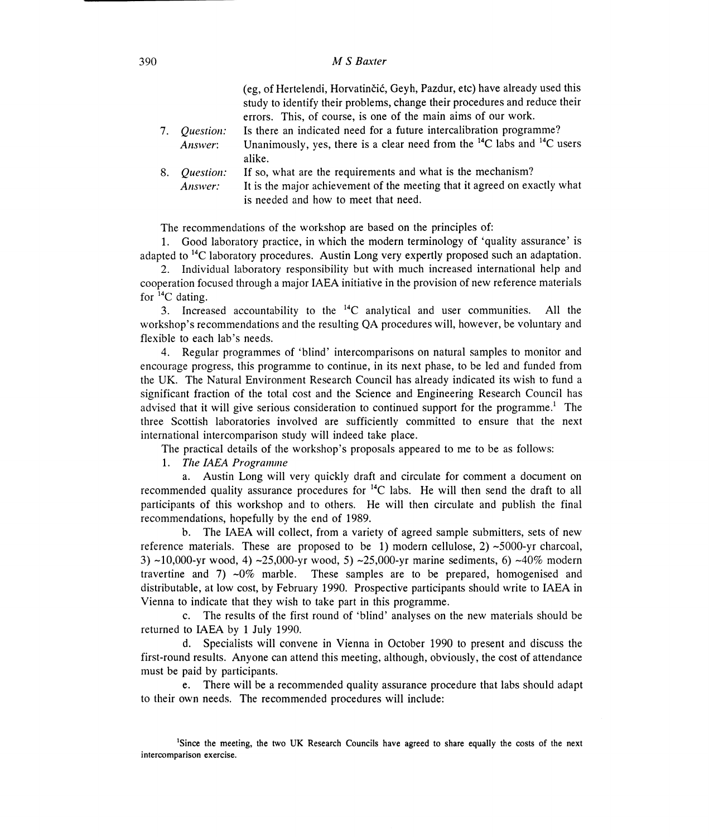### 390 MS Baxter

|    |                  | (eg, of Hertelendi, Horvatinčić, Geyh, Pazdur, etc) have already used this          |
|----|------------------|-------------------------------------------------------------------------------------|
|    |                  | study to identify their problems, change their procedures and reduce their          |
|    |                  | errors. This, of course, is one of the main aims of our work.                       |
| 7. | <i>Ouestion:</i> | Is there an indicated need for a future intercalibration programme?                 |
|    | Answer:          | Unanimously, yes, there is a clear need from the $^{14}$ C labs and $^{14}$ C users |
|    |                  | alike.                                                                              |
| 8. | <i>Question:</i> | If so, what are the requirements and what is the mechanism?                         |
|    | Answer:          | It is the major achievement of the meeting that it agreed on exactly what           |
|    |                  | is needed and how to meet that need.                                                |

is needed and how to meet that need.<br>The recommendations of the workshop are based on the principles of:

1. Good laboratory practice, in which the modern terminology of 'quality assurance' is adapted to <sup>14</sup>C laboratory procedures. Austin Long very expertly proposed such an adaptation.

2. Individual laboratory responsibility but with much increased international help and 2. Individual laboratory responsibility but with much increased international help and cooperation focused through a major IAEA initiative in the provision of new reference materials for 14C dating.

3. Increased accountability to the  $^{14}C$  analytical and user communities. All the workshop's recommendations and the resulting QA procedures will, however, be voluntary and flexible to each lab's needs.

4. Regular programmes of 'blind' intercomparisons on natural samples to monitor and encourage progress, this programme to continue, in its next phase, to be led and funded from encourage progress, this programme to continue, in its next phase, to be led and funded from<br>the UK. The Natural Environment Research Council has already indicated its wish to fund a significant fraction of the total cost and the Science and Engineering Research Council has advised that it will give serious consideration to continued support for the programme.' The three Scottish laboratories involved are sufficiently committed to ensure that the next international intercomparison study will indeed take place. advised that it will give serious consideration to continued support for the program<br>three Scottish laboratories involved are sufficiently committed to ensure that<br>international intercomparison study will indeed take place

The practical details of the workshop's proposals appeared to me to be as follows:

1. The IAEA Programme

a. Austin Long will very quickly draft and circulate for comment a document on recommended quality assurance procedures for  ${}^{14}C$  labs. He will then send the draft to all participants of this workshop and to others. He will then circulate and publish the final recommendations, hopefully by the end of 1989. participants of this workshop and to others. He will then circulate and publish the final<br>recommendations, hopefully by the end of 1989.<br>b. The IAEA will collect, from a variety of agreed sample submitters, sets of new

reference materials. These are proposed to be 1) modern cellulose, 2)  $\sim$ 5000-yr charcoal, 3) ~10,000-yr wood, 4) ~25,000-yr wood, 5) ~25,000-yr marine sediments, 6) ~40% modern travertine and 7)  $\sim 0\%$  marble. These samples are to be prepared, homogenised and distributable, at low cost, by February 1990. Prospective participants should write to IAEA in distributable, at low cost, by February 1990. Prospective participants<br>Vienna to indicate that they wish to take part in this programme.

c. The results of the first round of 'blind' analyses on the new materials should be returned to IAEA by 1 July 1990.

returned to IAEA by 1 July 1990.<br>d. Specialists will convene in Vienna in October 1990 to present and discuss the first-round results. Anyone can attend this meeting, although, obviously, the cost of attendance must be paid by participants.

e. There will be a recommended quality assurance procedure that labs should adapt to their own needs. The recommended procedures will include:

<sup>1</sup>Since the meeting, the two UK Research Councils have agreed to share equally the costs of the next intercomparison exercise. intercomparison exercise.